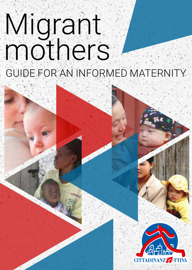# Migrant mothers GUIDE FOR AN INFORMED MATERNITY

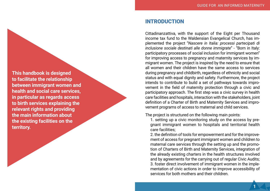INTRODUCTION

Cittadinanzattiva, with the support of the Eight per Thousand income tax fund to the Waldensian Evangelical Church, has im plemented the project "*Nascere in Italia: processi partecipati di inclusione sociale destinati alle donne immigrate*" - "Born in Italy: participatory processes of social inclusion for immigrant women" for improving access to pregnancy and maternity services by im migrant women. The project is inspired by the need to ensure that all women and their children have the same access to services during pregnancy and childbirth, regardless of ethnicity and social status and with equal dignity and safety. Furthermore, the project intends to contribute to build a set of pathways towards impro vement in the field of maternity protection through a civic and participatory approach. The first step was a civic survey in health care facilities and hospitals, interaction with the stakeholders, joint definition of a Charter of Birth and Maternity Services and impro vement programs of access to maternal and child services.

The project is structured on the following main points:

1. setting up a civic monitoring study on the access by pre gnant immigrant women to hospitals and territorial health care facilities;

2. the definition of tools for empowerment and for the improve ment of access for pregnant immigrant women and children to maternal care services through the setting up and the promo tion of Charters of Birth and Maternity Services, integration of the already existing charters in the health structures involved and by agreements for the carrying out of regular Civic Audits; 3. foster direct involvement of immigrant women in the imple mentation of civic actions in order to improve accessibility of services for both mothers and their children.

**This handbook is designed to facilitate the relationship between immigrant women and health and social care services, in particular as regards access to birth services explaining the relevant rights and providing the main information about the existing facilities on the territory.**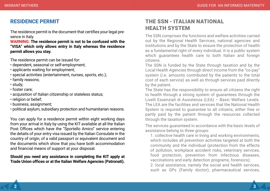# RESIDENCE PERMIT

The residence permit is the document that certifies your legal presence in Italy.

**WARNING: The residence permit is not to be confused with the "VISA" which only allows entry in Italy whereas the residence permit allows you stay.**

The residence permit can be issued for:

- dependent, seasonal or self-employment;
- applicants waiting for employment;
- special activities (entertainment, nurses, sports, etc.);
- family reasons;
- study;
- foster care;
- acquisition of Italian citizenship or stateless status;
- religion or belief:
- business, assignment;
- political asylum, subsidiary protection and humanitarian reasons.

You can apply for a residence permit within eight working days from your arrival in Italy by using the KIT available at all the Italian Post Offices which have the "Sportello Amico" service entering the details of your entry visa issued by the Italian Consulate in the country of origin, of a valid passport or equivalent document and the documents which show that you have both accommodation and financial means of support at your disposal.

## **Should you need any assistance in completing the KIT apply at Trade Union offices or at the Italian Welfare Agencies (Patronati).**

# THE SSN - ITALIAN NATIONAL **HEALTH SYSTEM**

The SSN comprises the functions and welfare activities carried out by the Regional Health Services, national agencies and institutions and by the State to ensure the protection of health as a fundamental right of every individual. It is a public system which guarantees health care to both Italian and foreign citizens.

The SSN is funded by the State through taxation and by the Local Health Agencies through direct income from the "co-pay" system (i.e. amounts contributed by the patients to the total cost of each service) as well as through services paid directly by the patient.

The State has the responsibility to ensure all citizens the right to health through a strong system of guarantees through the Livelli Essenziali di Assistenza (LEA) – Basic Welfare Levels. The LEA are the facilities and services that the National Health System is required to quarantee to all citizens, either free or partly paid by the patient through the resources collected through the taxation system.

The services guaranteed in accordance with the basic levels of assistance belong to three groups:

1. collective health care in living and working environments, which includes all prevention activities targeted at both the community and the individual (protection from the effects of pollution, workplace accident risks, veterinary services, food protection, prevention from infectious diseases, vaccinations and early detection programs, forensics); 2. local assistance, namely the social and health services, such as GPs (Family doctor), pharmaceutical services,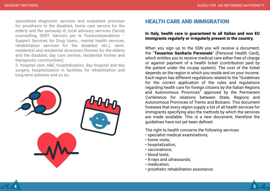specialized diagnostic services and outpatient provision for prosthesis to the disabled, home care service for the elderly and the seriously ill, local advisory services (family counselling, SERT -Servizio per le Tossicodipendenze – Support Services for Drug Users-, mental health services, rehabilitation services for the disabled, etc.), semiresidential and residential structures (homes for the elderly and the disabled, day care centres, residential homes and therapeutic communities);

3. hospital care, A&E, hospitalization, day hospital and day surgery, hospitalization in facilities for rehabilitation and long-term patients and so on.



# HEALTH CARE AND IMMIGRATION

# In Italy, health care is guaranteed to all Italian and non EU immigrants regularly or irregularly present in the country.

When you sign up to the SSN you will receive a document, the "Tesserino Sanitario Personale" (Personal Health Card), which entitles you to receive medical care either free of charge or against payment of a health ticket (contribution paid by the patient under the co-pay system). The cost of the ticket depends on the region in which you reside and on your income. Each region has different regulations related to the "Guidelines for the correct application of the rules and regulations regarding health care for foreign citizens by the Italian Regions and Autonomous Provinces" approved by the Permanent Conference for relations between State, Regions and Autonomous Provinces of Trento and Bolzano. This document foresees that every region supply a list of all health services for immigrants specifying also the methods by which the services are made available. This is a new document; therefore the guidelines have not yet been defined.

The right to health concerns the following services:

- specialist medical examinations;
- home visits;
- hospitalization;
- vaccinations;
- blood tests;
- X-rays and ultrasounds;
- medication;
- prosthetic rehabilitation assistance.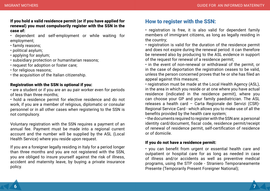#### If you hold a valid residence permit (or if you have applied for renewal) you must compulsorily register with the SSN in the case of:

• dependent and self-employment or while waiting for employment;

- family reasons;
- political asylum;
- applying for asylum;
- subsidiary protection or humanitarian reasons;
- request for adoption or foster care;
- for religious reasons;
- the acquisition of the Italian citizenship.

# Registration with the SSN is optional if you:

• are a student or if you are an au pair worker even for periods of less than three months;

• hold a residence permit for elective residence and do not work, if you are a member of religious, diplomatic or consular personnel or in all other cases when registering to the SSN is not compulsory.

Voluntary registration with the SSN requires a payment of an annual fee. Payment must be made into a regional current account and the number will be supplied by the ASL (Local Health Service) where you reside upon request.

If you are a foreigner legally residing in Italy for a period longer than three months and you are not registered with the SSN, you are obliged to insure yourself against the risk of illness, accident and maternity leave, by buying a private insurance policy.

# How to register with the SSN:

• registration is free, it is also valid for dependent family members of immigrant citizens, as long as legally residing in the country;

• registration is valid for the duration of the residence permit and does not expire during the renewal period: it can therefore be renewed also by producing to the ASL evidence in support of the request for renewal of a residence permit;

• in the event of non-renewal or withdrawal of the permit, or in the case of deportation the registration ceases to be valid, unless the person concerned proves that he or she has filed an appeal against this measure;

• registration must be made at the Local Health Agency (ASL), in the area in which you reside or at one where you have actual residence (indicated in the residence permit), where you can choose your GP and your family paediatrician. The ASL releases a health card – Carta Regionale dei Servizi (CSR)- Regional Service Card - which allows you to make use of all the benefits provided by the health care system;

• the documents required to register with the SSN are: a personal identity card/document, fiscal code, residence permit/receipt of renewal of residence permit, self-certification of residence or of domicile.

#### If you do not have a residence permit:

• you can benefit from urgent or essential health care and outpatient or hospital care for as long as needed in case of illness and/or accidents as well as preventive medical programs, using the STP code - Straniero Temporaneamente Presente (Temporarily Present Foreigner National);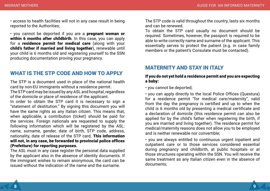• access to health facilities will not in any case result in being reported to the Authorities;

• you cannot be deported if you are a pregnant woman or within 6 months after childbirth. In this case, you can apply for a residence permit for medical care (along with your child's father if married and living together), renewable until your child is 6 months old and registering yourself to the SSN producing documentation proving your pregnancy.

# WHAT IS THE STP CODE AND HOW TO APPLY

The STP is a document used in place of the national health card by non-EU immigrants without a residence permit. The STP card may be issued by any ASL and hospital, regardless of the domicile or place of residence of the applicant.

In order to obtain the STP card it is necessary to sign a "statement of destitution." By signing this document you will have the same rights as any Italian citizen. This means that, when applicable, a contribution (ticket) should be paid for the services. Foreign nationals are requested to supply the following information which will be registered by the ASL: name, surname, gender, date of birth, STP code, address, nationality, date of release of the STP card. This information will not, in any case, be forwarded to provincial police offices (Prefetture) for reporting purposes.

The ASL must in any case register the personal data supplied by the applicant also in the absence of identity documents. If the immigrant wishes to remain anonymous, the card can be issued without the indication of the name and the surname.

The STP code is valid throughout the country, lasts six months and can be renewed.

To obtain the STP card usually no document should be required. Sometimes, however, the passport is required to be able to write correctly name and surname of the applicant. This essentially serves to protect the patient (e.g. in case family members or the patient's Consulate must be contacted).

# MATERNITY AND STAY IN ITALY

### If you do not yet hold a residence permit and you are expecting a baby:

• you cannot be deported;

• you can apply directly to the local Police Offices (Questura) for a residence permit "for medical care/maternity", valid from the day the pregnancy is certified and up to when the child is 6 months old by presenting a medical certificate and a declaration of domicile (this residence permit can also be applied for by the child's father when registering the birth, if you are married and living together). The residence permit for medical/maternity reasons does not allow you to be employed and is neither renewable nor convertible;

• you are always entitled to continuous urgent inpatient and outpatient care or to those services considered essential during pregnancy and childbirth, at public hospitals or at those structures operating within the SSN. You will receive the same treatment as any Italian citizen even in the absence of documents;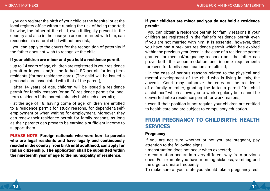• you can register the birth of your child at the hospital or at the local registry office without running the risk of being reported; likewise, the father of the child, even if illegally present in the country and also in the case you are not married with him, can recognise his natural child without any risk;

• you can apply to the courts for the recognition of paternity if the father does not wish to recognize the child.

## If your children are minor and you hold a residence permit:

• up to 14 years of age, children are registered in your residence permit or in your and/or the father's EC permit for long-term residents (former residence card). (The child will be issued a personal card associated with that of the parent);

• after 14 years of age, children will be issued a residence permit for family reasons (or an EC residence permit for longterm residents if the parents already hold such a permit);

• at the age of 18, having come of age, children are entitled to a residence permit for study reasons, for dependent/selfemployment or when waiting for employment. Moreover, they can renew their residence permit for family reasons, as long as their parents can prove to be earning a sufficient income to support them.

PLEASE NOTE: Foreign nationals who were born to parents who are legal residents and have legally and continuously resided in the country from birth until adulthood, can apply for Italian citizenship. The application shall be submitted within the nineteenth year of age to the municipality of residence.

#### If your children are minor and you do not hold a residence permit:

• you can obtain a residence permit for family reasons if your children are registered in the father's residence permit even if you are not married with him. It is essential, however, that you have had a previous residence permit which has expired within the previous year (even in the case of a residence permit granted for medical/pregnancy reasons) and the father can prove both the accommodation and income requirements foreseen for family reunification are fulfilled;

• in the case of serious reasons related to the physical and mental development of the child who is living in Italy, the Juvenile Court may authorize the entry or the residence of a family member, granting the latter a permit "for child assistance" which allows you to work regularly but cannot be converted into a residence permit for work reasons;

• even if their position is not regular, your children are entitled to health care and are subject to compulsory education.

# FROM PREGNANCY TO CHILDBIRTH: HEALTH **SERVICES**

#### **Pregnancy**

If you are not sure whether or not you are pregnant, pay attention to the following signs:

• menstruation does not occur when expected;

• menstruation occurs in a very different way from previous ones. For example you have morning sickness, vomiting and the urge to urinate frequently.

To make sure of your state you should take a pregnancy test.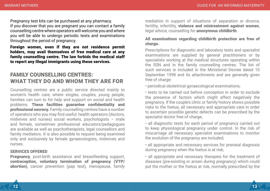Pregnancy test kits can be purchased at any pharmacy. If you discover that you are pregnant you can contact a family counselling centre where operators will welcome you and where you will be able to undergo periodic tests and examinations throughout the period of pregnancy.

Foreign women, even if they are not residence permit holders, may avail themselves of free medical care at any family counselling centre. The law forbids the medical staff to report any illegal immigrants using these services.

# FAMILY COUNSELLING CENTRES: WHAT THEY DO AND WHOM THEY ARE FOR

Counselling centres are a public service directed mainly to women's health care, where singles, couples, young people, families can turn to for help and support on social and health problems. These facilities guarantee confidentiality and professional secrecy. Family counselling centres have a number of operators who you may find useful: health operators (doctors, midwives and nurses) social workers, psychologists – male and female, sometimes professional educators/pedagogues are available as well as psychotherapists, legal counsellors and family mediators. It is also possible to request being examined only and exclusively by female gynaecologists, midwives and nurses.

#### SERVICES OFFERED

Pregnancy, post-birth assistance and breastfeeding support, contraception, voluntary termination of pregnancy (VTP/ abortion), cancer prevention (pap test), menopause, family mediation in support of situations of separation or divorce, fertility, infertility, violence and mistreatment against women, legal advice, counselling for anonymous childbirth.

# All examinations regarding childbirth protection are free of charge.

Prescriptions for diagnostic and laboratory tests and specialist examinations are supplied by general practitioners or by specialists working at the medical structures operating within the SSN and in the family counselling centres. The list of such services is included in the Ministerial Decree dated 10 September 1998 and its attachments and are generally given free of charge:

• periodical obstetrical gynaecological examinations;

• tests to be carried out before conception in order to exclude the presence of factors which might affect negatively the pregnancy. If the couple's clinic or family history shows possible risks to the foetus, all necessary and appropriate care in order to ascertain possible genetic defects can be prescribed by the specialist doctor free of charge;

• all diagnostic tests for each period of pregnancy carried out to keep physiological pregnancy under control. In the risk of miscarriage all necessary specialist examinations to monitor the evolution of the pregnancy are included;

• all appropriate and necessary services for prenatal diagnosis during pregnancy when the foetus is at risk;

• all appropriate and necessary therapies for the treatment of diseases (pre-existing or arisen during pregnancy) which could put the mother or the foetus at risk, normally prescribed by the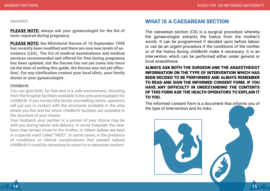specialist.

PLEASE NOTE: always ask your gynaecologist for the list of tests required during pregnancy.

PLEASE NOTE: the Ministerial Decree of 10 September 1998 has recently been modified and there are now new levels of assistance (LEA). The list of medical examinations and medical services recommended and offered for free during pregnancy has been updated, but the Decree has not yet come into force (at the time of writing this guide, the Decree was not yet effective). For any clarification contact your local clinic, your family doctor or your gynaecologist.

#### Childbirth

You can give birth, for free and in a safe environment, choosing from the hospital facilities available in the area and equipped for childbirth. If you contact the family counselling centre, operators will put you in contact with the structures available in the area where you live and list which childbirth facilities are available in the structure of your choice.

Your husband, your partner or a person of your choice may be with you during labour and delivery. In some hospitals the newborn may remain close to the mother, in others babies are kept in a special ward called "NIDO". In some cases, in the presence of conditions or clinical complications that prevent natural childbirth it could be necessary to resort to a caesarean section.

# WHAT IS A CAESAREAN SECTION

The caesarean section (CS) is a surgical procedure whereby the gynaecologist extracts the foetus from the mother's womb. It can be programmed if decided upon before labour or can be an urgent procedure if the conditions of the mother or of the foetus during childbirth make it necessary. It is an intervention which can be performed either under general or local anaesthesia.

ALWAYS ASK BOTH THE SURGEON AND THE ANAESTHESIST INFORMATION ON THE TYPE OF INTERVENTION WHICH HAS BEEN DECIDED TO BE PERFORMED AND ALWAYS REMEMBER TO READ AND SIGN THE INFORMED CONSENT FORM. IF YOU HAVE ANY DIFFICULTY IN UNDESTANDING THE CONTENTS OF THIS FORM ASK THE HEALTH OPERATORS TO EXPLAIN IT TO YOU.

The Informed consent form is a document that informs you of the type of intervention and its risks.

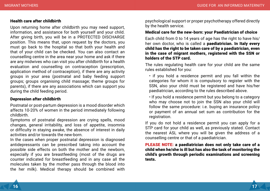#### Health care after childbirth

Upon returning home after childbirth you may need support, information, and assistance for both yourself and your child. After giving birth, you will be in a PROTECTED DISCHARGE position. This means that, upon request by the doctors, you must go back to the hospital so that both your health and that of your child can be checked. You can also contact an counselling centre in the area near your home and ask if there are any midwives who can visit you after childbirth for a health evaluation and counselling on contraception (prescription, application method of contraception), if there are any activity groups in your area (postnatal and baby feeding support groups; groups organising child massage; theme groups for parents), if there are any associations which can support you during the child feeding period.

#### Depression after childbirth

Postnatal or post-partum depression is a mood disorder which affects 10-20% of women in the period immediately following childbirth.

Symptoms of postnatal depression are crying spells, mood changes, general irritability, and loss of appetite, insomnia or difficulty in staying awake, the absence of interest in daily activities and/or towards the new-born.

In the cases when proper postnatal depression is diagnosed antidepressants can be prescribed taking into account the possible side effects on both the mother and the newborn, especially if you are breastfeeding (most of the drugs are counter indicated for breastfeeding and in any case all the molecules taken by the mother pass through the blood into the her milk). Medical therapy should be combined with

psychological support or proper psychotherapy offered directly by the health service.

#### Medical care for the new-born: your Paediatrician of choice

Each child from 0 to 14 years of age has the right to have his/ her own doctor, who is called a **paediatrician. In Italy every** child has the right to be taken care of by a paediatrician, even in the case of migrant mothers, registered with the SSN or holders of the STP card.

The rules regulating health care for your child are the same rules established for you:

• if you hold a residence permit and you fall within the categories for whom it is compulsory to register with the SSN, also your child must be registered and have his/her paediatrician, according to the rules described above.

• If you hold a residence permit but you belong to a category who may choose not to join the SSN also your child will follow the same procedure: i.e. buying an insurance policy or payment of an annual set sum as contribution for the registration.

If you do not hold a residence permit you can apply for a STP card for your child as well, as previously stated. Contact the nearest ASL where you will be given the address of a counselling centre or that of a paediatrician.

PLEASE NOTE: a paediatrician does not only take care of a child when he/she is ill but has also the task of monitoring the child's growth through periodic examinations and screening tests.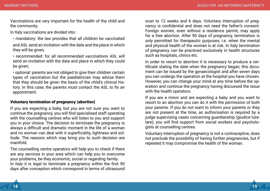Vaccinations are very important for the health of the child and the community.

In Italy vaccinations are divided into:

- mandatory: the law provides that all children be vaccinated and ASL send an invitation with the date and the place in which they will be given;
- recommended: for all recommended vaccinations ASL will send an invitation with the date and place in which they could be given;

• optional: parents are not obliged to give their children certain types of vaccination but the paediatrician may advise them that they should be given the basis of the child's clinical history. In this case, the parents must contact the ASL to fix an appointment.

# Voluntary termination of pregnancy (abortion)

If you are expecting a baby, but you are not sure you want to continue the pregnancy, you will find specialised staff operating with the counselling centres who will listen to you and support you in your choice. The decision to terminate the pregnancy is always a difficult and dramatic moment in the life of a woman and no woman can deal with it superficiality, lightness and solitude. The reasons which may bring you to such decision are manifold.

The counselling centre operators will help you to check if there are any services in your area which can help you to overcome your problems, be they economic, social or regarding family. In Italy it is legal to terminate a pregnancy within the first 90 days after conception which correspond in terms of ultrasound scan to 12 weeks and 6 days. Voluntary interruption of pregnancy is confidential and does not need the father's consent. Foreign women, even without a residence permit, may apply for a free abortion. After 90 days of pregnancy, termination is only permitted for therapeutic purposes, i.e. when the mental and physical health of the woman is at risk. In Italy termination of pregnancy can be practiced exclusively in health structures such as hospitals, clinics etc.

In order to resort to abortion it is necessary to produce a certificate stating the date when the pregnancy began; this document can be issued by the gynaecologist and after seven days you can undergo the operation at the hospital you have chosen. However, you can change your mind at any time before the operation and continue the pregnancy having discussed the issue with the health operators.

If you are a minor and are expecting a baby and you want to resort to an abortion you can do it with the permission of both your parents. If you do not want to inform your parents or they are not present at the time, an authorisation is required by a judge supervising cases concerning guardianship (giudice tutelare); you will find support from social workers and psychologists at counselling centres.

Voluntary interruption of pregnancy is not a contraceptive, does not preclude the possibility of having further pregnancies, but if repeated it may compromise the health of the woman.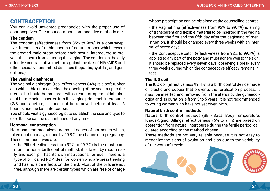# **CONTRACEPTION**

You can avoid unwanted pregnancies with the proper use of contraceptives. The most common contraceptive methods are:

# The condom

The condom (effectiveness from 85% to 98%) is a contraceptive. It consists of a thin sheath of natural rubber which covers the erected male organ before each sexual intercourse to prevent the sperm from entering the vagina. The condom is the only effective contraceptive method against the risk of HIV/AIDS and other sexually transmitted diseases (hepatitis, syphilis, and gonorrhoea).

#### The vaginal diaphragm

The vaginal diaphragm (real effectiveness 84%) is a soft rubber cap with a thick rim covering the opening of the vagina up to the uterus. It should be smeared with cream, or spermicidal lubricant before being inserted into the vagina prior each intercourse (2/3 hours before). It must not be removed before at least 6 hours since the last intercourse.

You should visit a gynaecologist to establish the size and type to use. Its use can be discontinued at any time.

#### Hormonal contraception

Hormonal contraceptives are small doses of hormones which, taken continuously, reduce by 99.9% the chance of a pregnancy. These contraceptives are:

• the Pill (effectiveness from 92% to 99.7%) is the most common hormonal birth control method; it is taken by mouth daily and each pill has its own instructions for use. There is a type of pill, called POP ideal for women who are breastfeeding and has no side effects on the child. Most of the pills are not free, although there are certain types which are free of charge

whose prescription can be obtained at the counselling centres.

• the Vaginal ring (effectiveness from 92% to 99.7%) is a ring of transparent and flexible material to be inserted in the vagina between the first and the fifth day after the beginning of menstruation. It should be changed every three weeks with an interval of seven days.

• the Contraceptive patch (effectiveness from 92% to 99.7%) is applied to any part of the body and must adhere well to the skin. It should be replaced every seven days, observing a break every three weeks during which the contraceptive efficacy remains intact.

# The IUD coil

The IUD coil (effectiveness 99.4%) is a birth control device made of plastic and copper that prevents the fertilization process. It must be inserted and removed from the uterus by the gynaecologist and its duration is from 3 to 5 years. It is not recommended to young women who have not yet given birth.

#### Natural birth control methods

Natural birth control methods (BBT- Basal Body Temperature, Knaus-Ogino, Billings, effectiveness 75% to 91%) are based on abstention from natural intercourse during the fertile period, calculated according to the method chosen.

These methods are not very reliable because it is not easy to recognize the signs of ovulation and also due to the variability of the woman's cycle.

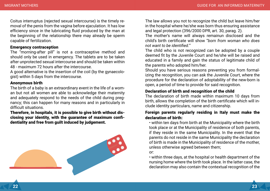Coitus interruptus (rejected sexual intercourse) is the timely removal of the penis from the vagina before ejaculation. It has low efficiency since in the lubricating fluid produced by the man at the beginning of the relationship there may already be sperm capable of fertilization.

## Emergency contraception

The "morning-after pill" is not a contraceptive method and should only be used in emergency. The tablets are to be taken after unprotected sexual intercourse and should be taken within 48 - maximum 72 hours after the intercourse.

A good alternative is the insertion of the coil (by the gynaecologist) within 5 days from the intercourse.

## Anonymous birth

The birth of a baby is an extraordinary event in the life of a woman but not all women are able to acknowledge their maternity and adequately respond to the needs of the child during pregnancy; this can happen for many reasons and in particularly in difficult situations.

Therefore, in hospitals, it is possible to give birth without disclosing your identity, with the guarantee of maximum confidentiality and free from guilt induced by judgement.



The law allows you not to recognize the child but leave him/her in the hospital where he/she was born thus ensuring assistance and legal protection (396/2000 DPR, art. 30, parag. 2).

The mother's name will always remainun disclosed and the child's birth certificate will show "*born from woman who does not want to be identified.*"

The child who is not recognized can be adopted by a couple deemed fit by the Juvenile Court and he/she will be raised and educated in a family and gain the status of legitimate child of the parents who adopted him/her.

Should you have serious reasons preventing you from formalizing the recognition, you can ask the Juvenile Court, where the procedure for the declaration of adoptability of the new-born is open, a period of time to provide for said recognition.

# Declaration of birth and recognition of the child

The declaration of birth made within maximum 10 days from birth, allows the completion of the birth certificate which will include identity particulars, name and citizenship.

# Foreign parents regularly residing in Italy must make the declaration of birth:

• within ten days from birth at the Municipality where the birth took place or at the Municipality of residence of both parents, if they reside in the same Municipality. In the event that the parents do not reside in the same Municipality the declaration of birth is made in the Municipality of residence of the mother, unless otherwise agreed between them;

or:

• within three days, at the hospital or health department of the nursing home where the birth took place. In the latter case, the declaration may also contain the contextual recognition of the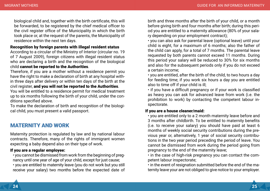biological child and, together with the birth certificate, this will be forwarded, to be registered by the chief medical officer to the civil register office of the Municipality in which the birth took place or, at the request of the parents, the Municipality of residence within the next ten days.

# Recognition by foreign parents with illegal resident status

According to a circular of the Ministry of Interior (circular no. 19 of 7 August 2009), foreign citizens with illegal resident status who are declaring a birth and the recognition of the biological child cannot be reported to the Authorities.

Therefore, if you are a mother without a residence permit you have the right to make a declaration of birth at any hospital within three days after delivery or within ten days of the birth at the civil register, and you will not be reported to the Authorities.

You will be entitled to a residence permit for medical treatment up to six months following the birth of your child, under the conditions specified above.

To make the declaration of birth and recognition of the biological child, you must present a valid passport.

# MATERNITY AND WORK

Maternity protection is regulated by law and by national labour contracts. Therefore, many of the rights of immigrant women expecting a baby depend also on their type of work.

# If you are a regular employee:

• you cannot be dismissed from work from the beginning of pregnancy until one year of age of your child, except for just cause;

• you are entitled to maternity leave (you do not work but you still receive your salary) two months before the expected date of birth and three months after the birth of your child, or a month before giving birth and four months after birth; during this period you are entitled to a maternity allowance (80% of your salary depending on your employment contract);

• you can also ask for parental leave (optional leave) until your child is eight, for a maximum of 6 months; also the father of the child can apply, for a total of 7 months. The parental leave requested by both parents cannot exceed 11 months. During this period your salary will be reduced to 30% for six months and also for the subsequent periods only if you do not exceed a certain income;

• you are entitled, after the birth of the child, to two hours a day for feeding time; if you work six hours a day you are entitled also to time off if your child is ill;

• if you have a difficult pregnancy or if your work is classified as heavy you can ask for advanced leave from work (i.e. the prohibition to work) by contacting the competent labour inspectorate.

## If you are a house cleaner/maid:

• you are entitled only to a 2 month maternity leave before and 3 months after childbirth. To be entitled to maternity benefits (i.e. to receive your salary) you should have paid at least 6 months of weekly social security contributions during the previous year or, alternatively, 1 year of social security contributions in the two year period preceding the period of leave. You cannot be dismissed from work during the period going from pregnancy to the end of the maternity leave;

• in the case of high-risk pregnancy you can contact the competent labour inspectorate;

• in the event of resignation submitted before the end of the maternity leave your are not obliged to give notice to your employer.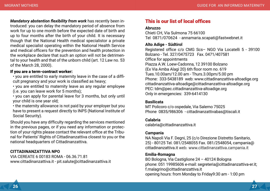*Mandatory abstention flexibility from work* has recently been introduced: you can delay the mandatory period of absence from work for up to one month before the expected date of birth and up to four months after the birth of your child. It is necessary though that the National Health medical specialistor a private medical specialist operating within the National Health Service and medical officers for the prevention and health protection in the workplace declare that such an option will not be detrimental to your health and that of the unborn child (art. 12 Law no. 53 of the March 28, 2000).

## If you are a term-contract worker:

• you are entitled to early maternity leave in the case of a difficult pregnancy and your work is classified as heavy;

• you are entitled to maternity leave as any regular employee (i.e. you can leave work for 5 months);

• you can apply for parental leave for 3 months, but only until your child is one year old;

• the maternity allowance is not paid by your employer but you have to present a request directly to INPS (National Institute of Social Security).

Should you have any difficulty regarding the services mentioned in the previous pages, or if you need any information or protection of your rights please contact the relevant office at the Tribunal for Patients' Rights of Cittadinanzattiva closest to you or the national headquarters of Cittadinanzattiva.

# **CITTADINANZATTIVA NPO**

VIA CEREATE 6 00183 ROMA - 06.36.71.81 www.cittadinanzattiva.it - pit.salute@cittadinanzattiva.it

# This is our list of local offices

#### **Abruzzo**

Chieti CH, Via Sulmona 75 66100 Tel 0871/070624 - annamaria.scapati@fastwebnet.it

# **Alto Adige - Südtirol**

Registered office c/o CMG Scs– NGO Via Locatelli 5 - 39100 Bolzano - Tel. 327/0475723 Fax. 0471/407581 Office for appointments Piazza A.W. Loew-Cadonna, 12 39100 Bolzano (Ex Via Amba Alagi 20) 6th floor room no. 619 Tues.10.00am/12.00 am - Thurs.3.00pm/5.00 pm Phone: 333-5438189 web: www.cittadinanzattiva-altoadige.org cittadinanzattiva-altoadige@cittadinanzattiva-altoadige.org PEC: tdm@pec.cittadinanzattiva-altoadige.org Only in emergencies: 339-6414130

# **Basilicata**

MT Policoro c/o ospedale, Via Salerno 75025 Phone 0835/986306 - cittadinanzattivabas@tiscali.it

# **Calabria**

calabria@cittadinanzattiva.it

# **Campania**

NA Napoli Via F. Degni, 25 (c/o Direzione Distretto Sanitario, 25) - 80125 Tel. 081/2548055 Fax. 081/2548054, campania@ cittadinanzattiva.it web: www.cittadinanzattiva.campania.it

# **Emilia-Romagna**

BO Bologna, Via Castiglione 24 – 40124 Bologna phone: 051 19985606 e-mail: segreteria@cittadinanzattiva-er.it; f.malagrino@cittadinanzattiva.it opening hours: from Monday to Friday9:30 am - 1:00 pm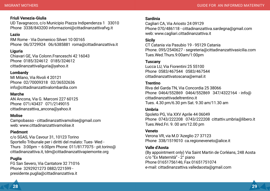# **Friuli Venezia-Giulia**

UD Tavagnacco, c/o Municipio Piazza Indipendenza 1 33010 Phone 3338/843200 informazioni@cittadinanzattivafvg.it

# **Lazio**

RM Rome - Via Domenico Silveri 10 00165 Phone 06/3729924 06/6385881 roma@cittadinanzattiva.it

# **Liguria**

Chiavari GE, Via Colonn.Franceschi 42 16043 Phone 0185/324612 0185/324612 cittadinanzattivaliguria@yahoo.it

## **Lombardy**

MI Milano, Via Rivoli 4 20121 Phone 02/70009318 02/36532636 info@cittadinanzattivalombardia.com

# **Marche**

AN Ancona, Via G. Marconi 227 60125 Phone 071/43437 071/2149015 cittadinanzattiva\_ancona@yahoo.it

# **Molise**

Campobasso - cittadinanzattivamolise@gmail.com web: www.cittadinanzattivamolise.it

# **Piedmont**

c/o SGAS, Via Cavour 31, 10123 Torino Sportello Tribunale per i diritti del malato: Tues- Wed - Thurs 3:00pm – 6:00pm Phone: 011/8177075 - pit.torino@ cittadinanzattiva.it, tdm@cittadinanzattivapiemonte.org

# **Puglia**

FG San Severo, Via Cantatore 32 71016 Phone 3292921273 0882/221599 presidente.puglia@cittadinanzattiva.it

#### **Sardinia**

Cagliari CA, Via Ariosto 24 09129 Phone 070/486118 - cittadinanzattiva.sardegna@gmail.com web: www.cagliari.cittadinanzattiva.it

## **Sicily**

CT Catania via Pasubio 19 - 95129 Catania Phone. 095/2540627 - segreteria@cittadinanzattivasicilia.com Tues.Wed.Thurs.9:00am/1:00pm

# **Tuscany**

Lucca LU, Via Fiorentini 25 55100 Phone 0583/467544 0583/467544 cittadinanzattivatoscana@email.it

# **Trentino**

Riva del Garda TN, Via Concordia 25 38066 Phone 0464/552869 0464/552869 347/4322164 - info@ cittadinanzattivadeltrentino.it Tues. 4.30 pm/6.30 pm Sat. 9.30 am/11.30 am

# **Umbria**

Spoleto PG, Via XXV Aprile 44 06049 Phone 0743/222208 0743/222208 cittattiv.umbria@libero.it Tues.Wed.Fri. 9. 00 am/12.00 pm

#### **Veneto**

Verona VR, via M.D 'Azeglio 27 37123 Phone 338/1519010 ca.regioneveneto@alice.it

# **Valle d'Aosta**

(By appointment only) Via Saint Martin de Corléans, 248 Aosta c/o "Ex Maternità" - 2° piano Phone 01651756146; Fax 01651751074 e-mail: cittadinanzattiva.valledaosta@gmail.com